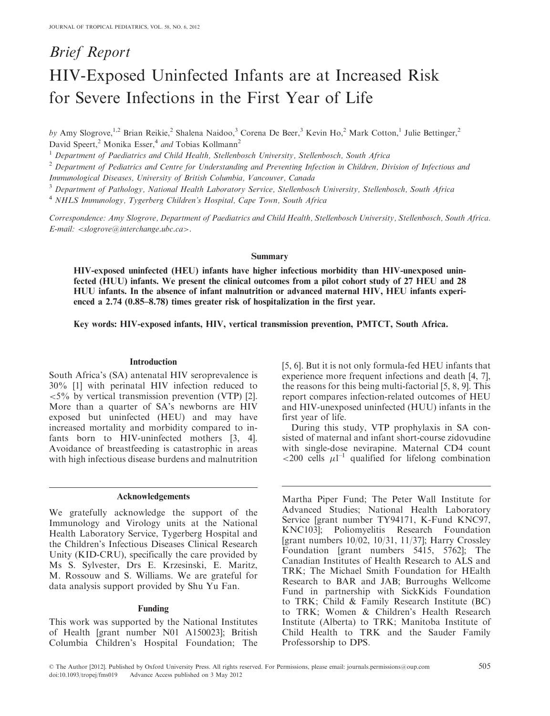# Brief Report HIV-Exposed Uninfected Infants are at Increased Risk for Severe Infections in the First Year of Life

by Amy Slogrove,<sup>1,2</sup> Brian Reikie,<sup>2</sup> Shalena Naidoo,<sup>3</sup> Corena De Beer,<sup>3</sup> Kevin Ho,<sup>2</sup> Mark Cotton,<sup>1</sup> Julie Bettinger,<sup>2</sup> David Speert,<sup>2</sup> Monika Esser,<sup>4</sup> and Tobias Kollmann<sup>2</sup>

<sup>1</sup> Department of Paediatrics and Child Health, Stellenbosch University, Stellenbosch, South Africa

 $2$  Department of Pediatrics and Centre for Understanding and Preventing Infection in Children, Division of Infectious and

Immunological Diseases, University of British Columbia, Vancouver, Canada

<sup>3</sup> Department of Pathology, National Health Laboratory Service, Stellenbosch University, Stellenbosch, South Africa

<sup>4</sup> NHLS Immunology, Tygerberg Children's Hospital, Cape Town, South Africa

Correspondence: Amy Slogrove, Department of Paediatrics and Child Health, Stellenbosch University, Stellenbosch, South Africa. E-mail: <slogrove@interchange.ubc.ca>.

## Summary

HIV-exposed uninfected (HEU) infants have higher infectious morbidity than HIV-unexposed uninfected (HUU) infants. We present the clinical outcomes from a pilot cohort study of 27 HEU and 28 HUU infants. In the absence of infant malnutrition or advanced maternal HIV, HEU infants experienced a 2.74 (0.85–8.78) times greater risk of hospitalization in the first year.

Key words: HIV-exposed infants, HIV, vertical transmission prevention, PMTCT, South Africa.

## Introduction

South Africa's (SA) antenatal HIV seroprevalence is 30% [\[1\]](#page-2-0) with perinatal HIV infection reduced to  $\langle 5\%$  by vertical transmission prevention (VTP) [[2](#page-2-0)]. More than a quarter of SA's newborns are HIV exposed but uninfected (HEU) and may have increased mortality and morbidity compared to in-fants born to HIV-uninfected mothers [[3](#page-2-0), [4](#page-2-0)]. Avoidance of breastfeeding is catastrophic in areas with high infectious disease burdens and malnutrition

## Acknowledgements

We gratefully acknowledge the support of the Immunology and Virology units at the National Health Laboratory Service, Tygerberg Hospital and the Children's Infectious Diseases Clinical Research Unity (KID-CRU), specifically the care provided by Ms S. Sylvester, Drs E. Krzesinski, E. Maritz, M. Rossouw and S. Williams. We are grateful for data analysis support provided by Shu Yu Fan.

#### Funding

This work was supported by the National Institutes of Health [grant number N01 A150023]; British Columbia Children's Hospital Foundation; The [\[5,](#page-2-0) [6\]](#page-3-0). But it is not only formula-fed HEU infants that experience more frequent infections and death [\[4,](#page-2-0) [7](#page-3-0)], the reasons for this being multi-factorial [[5](#page-2-0), [8](#page-3-0), [9](#page-3-0)]. This report compares infection-related outcomes of HEU and HIV-unexposed uninfected (HUU) infants in the first year of life.

During this study, VTP prophylaxis in SA consisted of maternal and infant short-course zidovudine with single-dose nevirapine. Maternal CD4 count <200 cells  $\mu$ l<sup>-1</sup> qualified for lifelong combination

Martha Piper Fund; The Peter Wall Institute for Advanced Studies; National Health Laboratory Service [grant number TY94171, K-Fund KNC97, KNC103]; Poliomyelitis Research Foundation [grant numbers 10/02, 10/31, 11/37]; Harry Crossley Foundation [grant numbers 5415, 5762]; The Canadian Institutes of Health Research to ALS and TRK; The Michael Smith Foundation for HEalth Research to BAR and JAB; Burroughs Wellcome Fund in partnership with SickKids Foundation to TRK; Child & Family Research Institute (BC) to TRK; Women & Children's Health Research Institute (Alberta) to TRK; Manitoba Institute of Child Health to TRK and the Sauder Family Professorship to DPS.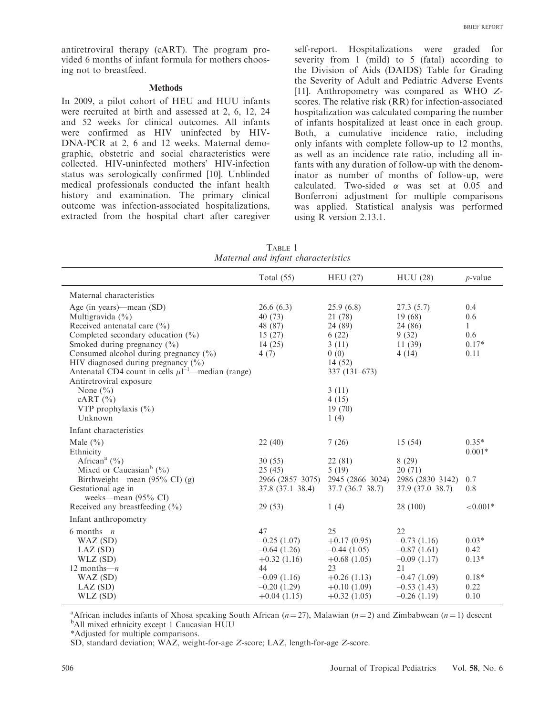<span id="page-1-0"></span>antiretroviral therapy (cART). The program provided 6 months of infant formula for mothers choosing not to breastfeed.

#### Methods

In 2009, a pilot cohort of HEU and HUU infants were recruited at birth and assessed at 2, 6, 12, 24 and 52 weeks for clinical outcomes. All infants were confirmed as HIV uninfected by HIV-DNA-PCR at 2, 6 and 12 weeks. Maternal demographic, obstetric and social characteristics were collected. HIV-uninfected mothers' HIV-infection status was serologically confirmed [[10\]](#page-3-0). Unblinded medical professionals conducted the infant health history and examination. The primary clinical outcome was infection-associated hospitalizations, extracted from the hospital chart after caregiver self-report. Hospitalizations were graded for severity from 1 (mild) to 5 (fatal) according to the Division of Aids (DAIDS) Table for Grading the Severity of Adult and Pediatric Adverse Events [\[11](#page-3-0)]. Anthropometry was compared as WHO Zscores. The relative risk (RR) for infection-associated hospitalization was calculated comparing the number of infants hospitalized at least once in each group. Both, a cumulative incidence ratio, including only infants with complete follow-up to 12 months, as well as an incidence rate ratio, including all infants with any duration of follow-up with the denominator as number of months of follow-up, were calculated. Two-sided  $\alpha$  was set at 0.05 and Bonferroni adjustment for multiple comparisons was applied. Statistical analysis was performed using R version 2.13.1.

TABLE 1 Maternal and infant characteristics

|                                                                                                                                                                                                                                                                                                                                                                                                                             | Total $(55)$                                                | <b>HEU</b> (27)                                                                                                            | <b>HUU</b> (28)                                                    | $p$ -value                                |
|-----------------------------------------------------------------------------------------------------------------------------------------------------------------------------------------------------------------------------------------------------------------------------------------------------------------------------------------------------------------------------------------------------------------------------|-------------------------------------------------------------|----------------------------------------------------------------------------------------------------------------------------|--------------------------------------------------------------------|-------------------------------------------|
| Maternal characteristics                                                                                                                                                                                                                                                                                                                                                                                                    |                                                             |                                                                                                                            |                                                                    |                                           |
| Age (in years)—mean $(SD)$<br>Multigravida $(\% )$<br>Received antenatal care $(\% )$<br>Completed secondary education $(\% )$<br>Smoked during pregnancy $(\% )$<br>Consumed alcohol during pregnancy $(\% )$<br>HIV diagnosed during pregnancy $(\% )$<br>Antenatal CD4 count in cells $\mu$ l <sup>-1</sup> —median (range)<br>Antiretroviral exposure<br>None $(\% )$<br>cART (%)<br>VTP prophylaxis $(\% )$<br>Unknown | 26.6(6.3)<br>40 (73)<br>48 (87)<br>15(27)<br>14(25)<br>4(7) | 25.9(6.8)<br>21 (78)<br>24 (89)<br>6(22)<br>3(11)<br>0(0)<br>14 (52)<br>$337(131-673)$<br>3(11)<br>4(15)<br>19(70)<br>1(4) | 27.3(5.7)<br>19(68)<br>24 (86)<br>9(32)<br>11(39)<br>4(14)         | 0.4<br>0.6<br>1<br>0.6<br>$0.17*$<br>0.11 |
| Infant characteristics                                                                                                                                                                                                                                                                                                                                                                                                      |                                                             |                                                                                                                            |                                                                    |                                           |
| Male $(\% )$<br>Ethnicity<br>African <sup>a</sup> $(\% )$<br>Mixed or Caucasian <sup>b</sup> $(%)$<br>Birthweight—mean $(95\% \text{ CI})$ (g)                                                                                                                                                                                                                                                                              | 22(40)<br>30(55)<br>25(45)<br>2966 (2857-3075)              | 7(26)<br>22 (81)<br>5(19)<br>2945 (2866-3024)                                                                              | 15(54)<br>8(29)<br>20(71)<br>2986 (2830-3142)<br>$37.9(37.0-38.7)$ | $0.35*$<br>$0.001*$<br>0.7<br>0.8         |
| Gestational age in<br>weeks—mean $(95\% \text{ CI})$                                                                                                                                                                                                                                                                                                                                                                        | $37.8(37.1-38.4)$                                           | $37.7(36.7-38.7)$                                                                                                          |                                                                    |                                           |
| Received any breastfeeding $(\% )$                                                                                                                                                                                                                                                                                                                                                                                          | 29(53)                                                      | 1(4)                                                                                                                       | 28 (100)                                                           | ${<}0.001*$                               |
| Infant anthropometry                                                                                                                                                                                                                                                                                                                                                                                                        |                                                             |                                                                                                                            |                                                                    |                                           |
| 6 months- $n$<br>WAZ (SD)<br>LAZ(SD)<br>WLZ (SD)<br>12 months— $n$                                                                                                                                                                                                                                                                                                                                                          | 47<br>$-0.25(1.07)$<br>$-0.64(1.26)$<br>$+0.32(1.16)$<br>44 | 25<br>$+0.17(0.95)$<br>$-0.44(1.05)$<br>$+0.68(1.05)$<br>23                                                                | 22<br>$-0.73(1.16)$<br>$-0.87(1.61)$<br>$-0.09(1.17)$<br>21        | $0.03*$<br>0.42<br>$0.13*$                |
| WAZ (SD)<br>LAZ(SD)<br>WLZ (SD)                                                                                                                                                                                                                                                                                                                                                                                             | $-0.09(1.16)$<br>$-0.20(1.29)$<br>$+0.04(1.15)$             | $+0.26(1.13)$<br>$+0.10(1.09)$<br>$+0.32(1.05)$                                                                            | $-0.47(1.09)$<br>$-0.53(1.43)$<br>$-0.26(1.19)$                    | $0.18*$<br>0.22<br>0.10                   |

<sup>a</sup> African includes infants of Xhosa speaking South African ( $n = 27$ ), Malawian ( $n = 2$ ) and Zimbabwean ( $n = 1$ ) descent <sup>b</sup>All mixed ethnicity except 1 Caucasian HUU

\*Adjusted for multiple comparisons.

SD, standard deviation; WAZ, weight-for-age Z-score; LAZ, length-for-age Z-score.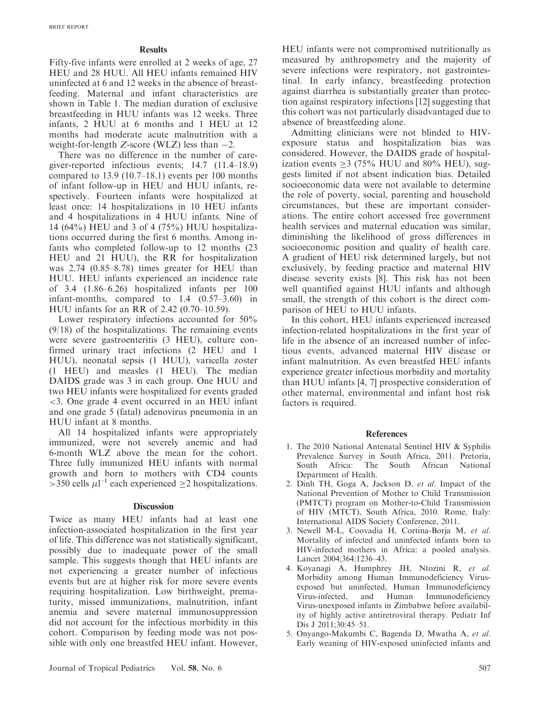## **Results**

<span id="page-2-0"></span>Fifty-five infants were enrolled at 2 weeks of age, 27 HEU and 28 HUU. All HEU infants remained HIV uninfected at 6 and 12 weeks in the absence of breastfeeding. Maternal and infant characteristics are shown in [Table 1](#page-1-0). The median duration of exclusive breastfeeding in HUU infants was 12 weeks. Three infants, 2 HUU at 6 months and 1 HEU at 12 months had moderate acute malnutrition with a weight-for-length  $Z$ -score (WLZ) less than  $-2$ .

There was no difference in the number of caregiver-reported infectious events; 14.7 (11.4–18.9) compared to 13.9 (10.7–18.1) events per 100 months of infant follow-up in HEU and HUU infants, respectively. Fourteen infants were hospitalized at least once: 14 hospitalizations in 10 HEU infants and 4 hospitalizations in 4 HUU infants. Nine of 14 (64%) HEU and 3 of 4 (75%) HUU hospitalizations occurred during the first 6 months. Among infants who completed follow-up to 12 months (23 HEU and 21 HUU), the RR for hospitalization was 2.74 (0.85–8.78) times greater for HEU than HUU. HEU infants experienced an incidence rate of 3.4 (1.86–6.26) hospitalized infants per 100 infant-months, compared to 1.4 (0.57–3.60) in HUU infants for an RR of 2.42 (0.70–10.59).

Lower respiratory infections accounted for 50% (9/18) of the hospitalizations. The remaining events were severe gastroenteritis (3 HEU), culture confirmed urinary tract infections (2 HEU and 1 HUU), neonatal sepsis (1 HUU), varicella zoster (1 HEU) and measles (1 HEU). The median DAIDS grade was 3 in each group. One HUU and two HEU infants were hospitalized for events graded <3. One grade 4 event occurred in an HEU infant and one grade 5 (fatal) adenovirus pneumonia in an HUU infant at 8 months.

All 14 hospitalized infants were appropriately immunized, were not severely anemic and had 6-month WLZ above the mean for the cohort. Three fully immunized HEU infants with normal growth and born to mothers with CD4 counts  $>$ 350 cells  $\mu$ l<sup>-1</sup> each experienced  $\geq$ 2 hospitalizations.

# **Discussion**

Twice as many HEU infants had at least one infection-associated hospitalization in the first year of life. This difference was not statistically significant, possibly due to inadequate power of the small sample. This suggests though that HEU infants are not experiencing a greater number of infectious events but are at higher risk for more severe events requiring hospitalization. Low birthweight, prematurity, missed immunizations, malnutrition, infant anemia and severe maternal immunosuppression did not account for the infectious morbidity in this cohort. Comparison by feeding mode was not possible with only one breastfed HEU infant. However,

HEU infants were not compromised nutritionally as measured by anthropometry and the majority of severe infections were respiratory, not gastrointestinal. In early infancy, breastfeeding protection against diarrhea is substantially greater than protection against respiratory infections [[12\]](#page-3-0) suggesting that this cohort was not particularly disadvantaged due to absence of breastfeeding alone.

Admitting clinicians were not blinded to HIVexposure status and hospitalization bias was considered. However, the DAIDS grade of hospitalization events  $\geq$  3 (75% HUU and 80% HEU), suggests limited if not absent indication bias. Detailed socioeconomic data were not available to determine the role of poverty, social, parenting and household circumstances, but these are important considerations. The entire cohort accessed free government health services and maternal education was similar, diminishing the likelihood of gross differences in socioeconomic position and quality of health care. A gradient of HEU risk determined largely, but not exclusively, by feeding practice and maternal HIV disease severity exists [[8](#page-3-0)]. This risk has not been well quantified against HUU infants and although small, the strength of this cohort is the direct comparison of HEU to HUU infants.

In this cohort, HEU infants experienced increased infection-related hospitalizations in the first year of life in the absence of an increased number of infectious events, advanced maternal HIV disease or infant malnutrition. As even breastfed HEU infants experience greater infectious morbidity and mortality than HUU infants [4, [7\]](#page-3-0) prospective consideration of other maternal, environmental and infant host risk factors is required.

# References

- 1. The 2010 National Antenatal Sentinel HIV & Syphilis Prevalence Survey in South Africa, 2011. Pretoria, The South African National Department of Health.
- 2. Dinh TH, Goga A, Jackson D, et al. Impact of the National Prevention of Mother to Child Transmission (PMTCT) program on Mother-to-Child Transmission of HIV (MTCT), South Africa, 2010. Rome, Italy: International AIDS Society Conference, 2011.
- 3. Newell M-L, Coovadia H, Cortina-Borja M, et al. Mortality of infected and uninfected infants born to HIV-infected mothers in Africa: a pooled analysis. Lancet 2004;364:1236–43.
- 4. Koyanagi A, Humphrey JH, Ntozini R, et al. Morbidity among Human Immunodeficiency Virusexposed but uninfected, Human Immunodeficiency Virus-infected, and Human Immunodeficiency Virus-unexposed infants in Zimbabwe before availability of highly active antiretroviral therapy. Pediatr Inf Dis J 2011;30:45-51.
- 5. Onyango-Makumbi C, Bagenda D, Mwatha A, et al. Early weaning of HIV-exposed uninfected infants and